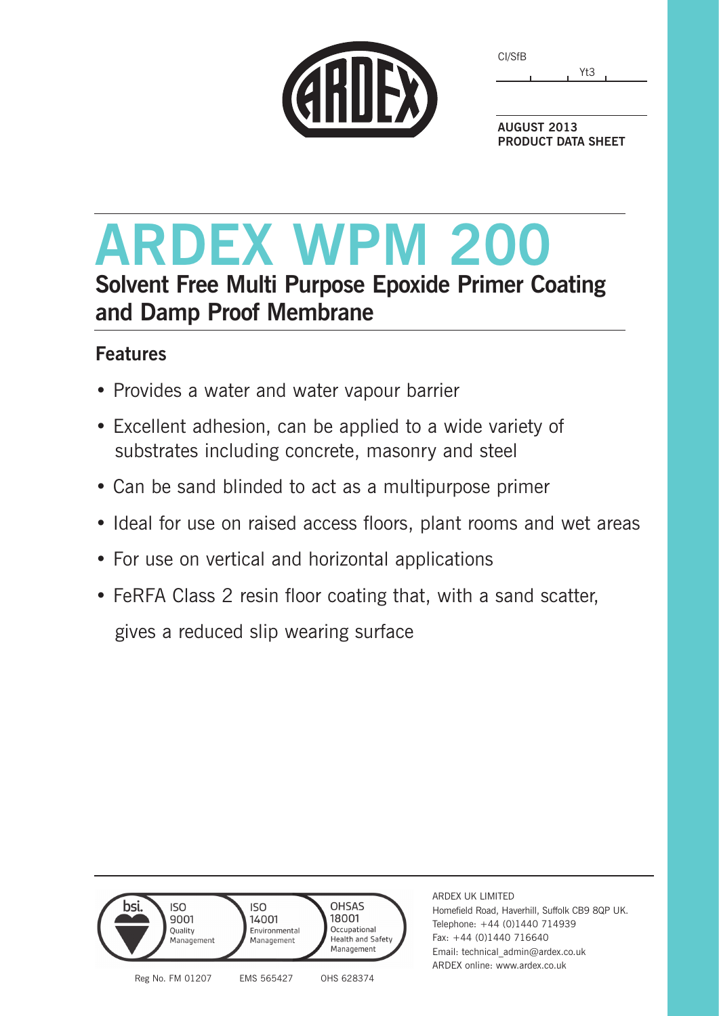| CI/SfB |     |
|--------|-----|
|        | Yt3 |



**AUGUST 2013 PRODUCT DATA SHEET**

## **ARDEX WPM 200 Solvent Free Multi Purpose Epoxide Primer Coating and Damp Proof Membrane**

## **Features**

- Provides a water and water vapour barrier
- Excellent adhesion, can be applied to a wide variety of substrates including concrete, masonry and steel
- Can be sand blinded to act as a multipurpose primer
- Ideal for use on raised access floors, plant rooms and wet areas
- For use on vertical and horizontal applications
- FeRFA Class 2 resin floor coating that, with a sand scatter,

gives a reduced slip wearing surface



Homefield Road, Haverhill, Suffolk CB9 8QP UK. Telephone: +44 (0)1440 714939 Fax: +44 (0)1440 716640 Email: technical\_admin@ardex.co.uk ARDEX online: www.ardex.co.uk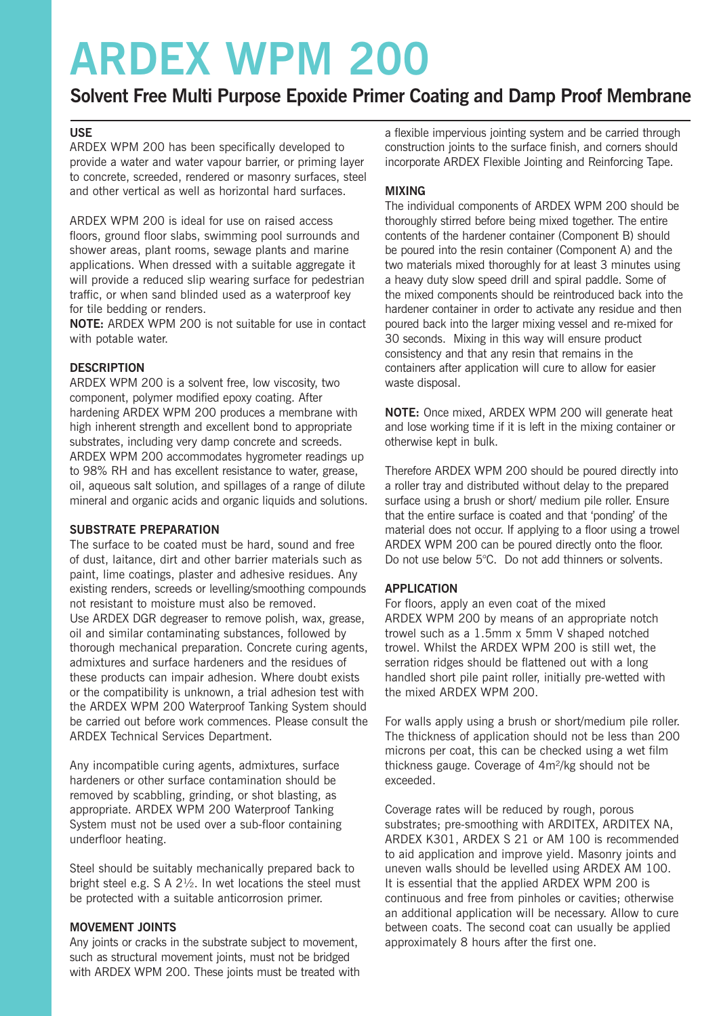## **ARDEX WPM 200**

### **Solvent Free Multi Purpose Epoxide Primer Coating and Damp Proof Membrane**

#### **USE**

ARDEX WPM 200 has been specifically developed to provide a water and water vapour barrier, or priming layer to concrete, screeded, rendered or masonry surfaces, steel and other vertical as well as horizontal hard surfaces.

ARDEX WPM 200 is ideal for use on raised access floors, ground floor slabs, swimming pool surrounds and shower areas, plant rooms, sewage plants and marine applications. When dressed with a suitable aggregate it will provide a reduced slip wearing surface for pedestrian traffic, or when sand blinded used as a waterproof key for tile bedding or renders.

**NOTE:** ARDEX WPM 200 is not suitable for use in contact with potable water.

#### **DESCRIPTION**

ARDEX WPM 200 is a solvent free, low viscosity, two component, polymer modified epoxy coating. After hardening ARDEX WPM 200 produces a membrane with high inherent strength and excellent bond to appropriate substrates, including very damp concrete and screeds. ARDEX WPM 200 accommodates hygrometer readings up to 98% RH and has excellent resistance to water, grease, oil, aqueous salt solution, and spillages of a range of dilute mineral and organic acids and organic liquids and solutions.

#### **SUBSTRATE PREPARATION**

The surface to be coated must be hard, sound and free of dust, laitance, dirt and other barrier materials such as paint, lime coatings, plaster and adhesive residues. Any existing renders, screeds or levelling/smoothing compounds not resistant to moisture must also be removed. Use ARDEX DGR degreaser to remove polish, wax, grease, oil and similar contaminating substances, followed by thorough mechanical preparation. Concrete curing agents, admixtures and surface hardeners and the residues of these products can impair adhesion. Where doubt exists or the compatibility is unknown, a trial adhesion test with the ARDEX WPM 200 Waterproof Tanking System should be carried out before work commences. Please consult the ARDEX Technical Services Department.

Any incompatible curing agents, admixtures, surface hardeners or other surface contamination should be removed by scabbling, grinding, or shot blasting, as appropriate. ARDEX WPM 200 Waterproof Tanking System must not be used over a sub-floor containing underfloor heating.

Steel should be suitably mechanically prepared back to bright steel e.g.  $S \land 2\frac{1}{2}$ . In wet locations the steel must be protected with a suitable anticorrosion primer.

#### **MOVEMENT JOINTS**

Any joints or cracks in the substrate subject to movement, such as structural movement joints, must not be bridged with ARDEX WPM 200. These joints must be treated with a flexible impervious jointing system and be carried through construction joints to the surface finish, and corners should incorporate ARDEX Flexible Jointing and Reinforcing Tape.

#### **MIXING**

The individual components of ARDEX WPM 200 should be thoroughly stirred before being mixed together. The entire contents of the hardener container (Component B) should be poured into the resin container (Component A) and the two materials mixed thoroughly for at least 3 minutes using a heavy duty slow speed drill and spiral paddle. Some of the mixed components should be reintroduced back into the hardener container in order to activate any residue and then poured back into the larger mixing vessel and re-mixed for 30 seconds. Mixing in this way will ensure product consistency and that any resin that remains in the containers after application will cure to allow for easier waste disposal.

**NOTE:** Once mixed, ARDEX WPM 200 will generate heat and lose working time if it is left in the mixing container or otherwise kept in bulk.

Therefore ARDEX WPM 200 should be poured directly into a roller tray and distributed without delay to the prepared surface using a brush or short/ medium pile roller. Ensure that the entire surface is coated and that 'ponding' of the material does not occur. If applying to a floor using a trowel ARDEX WPM 200 can be poured directly onto the floor. Do not use below 5°C. Do not add thinners or solvents.

#### **APPLICATION**

For floors, apply an even coat of the mixed ARDEX WPM 200 by means of an appropriate notch trowel such as a 1.5mm x 5mm V shaped notched trowel. Whilst the ARDEX WPM 200 is still wet, the serration ridges should be flattened out with a long handled short pile paint roller, initially pre-wetted with the mixed ARDEX WPM 200.

For walls apply using a brush or short/medium pile roller. The thickness of application should not be less than 200 microns per coat, this can be checked using a wet film thickness gauge. Coverage of 4m²/kg should not be exceeded.

Coverage rates will be reduced by rough, porous substrates; pre-smoothing with ARDITEX, ARDITEX NA, ARDEX K301, ARDEX S 21 or AM 100 is recommended to aid application and improve yield. Masonry joints and uneven walls should be levelled using ARDEX AM 100. It is essential that the applied ARDEX WPM 200 is continuous and free from pinholes or cavities; otherwise an additional application will be necessary. Allow to cure between coats. The second coat can usually be applied approximately 8 hours after the first one.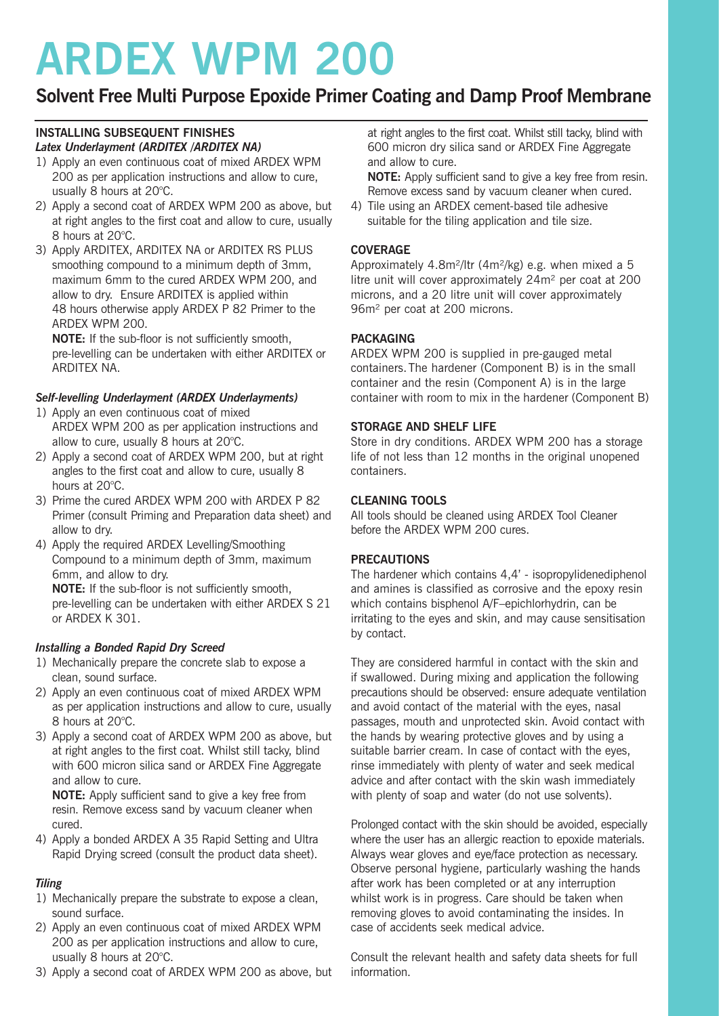# **ARDEX WPM 200**

### **Solvent Free Multi Purpose Epoxide Primer Coating and Damp Proof Membrane**

#### **INSTALLING SUBSEQUENT FINISHES** *Latex Underlayment (ARDITEX /ARDITEX NA)*

- 1) Apply an even continuous coat of mixed ARDEX WPM 200 as per application instructions and allow to cure, usually 8 hours at 20°C.
- 2) Apply a second coat of ARDEX WPM 200 as above, but at right angles to the first coat and allow to cure, usually 8 hours at 20°C.
- 3) Apply ARDITEX, ARDITEX NA or ARDITEX RS PLUS smoothing compound to a minimum depth of 3mm, maximum 6mm to the cured ARDEX WPM 200, and allow to dry. Ensure ARDITEX is applied within 48 hours otherwise apply ARDEX P 82 Primer to the ARDEX WPM 200.

**NOTE:** If the sub-floor is not sufficiently smooth, pre-levelling can be undertaken with either ARDITEX or ARDITEX NA.

#### *Self-levelling Underlayment (ARDEX Underlayments)*

- 1) Apply an even continuous coat of mixed ARDEX WPM 200 as per application instructions and allow to cure, usually 8 hours at 20°C.
- 2) Apply a second coat of ARDEX WPM 200, but at right angles to the first coat and allow to cure, usually 8 hours at 20°C.
- 3) Prime the cured ARDEX WPM 200 with ARDEX P 82 Primer (consult Priming and Preparation data sheet) and allow to dry.
- 4) Apply the required ARDEX Levelling/Smoothing Compound to a minimum depth of 3mm, maximum 6mm, and allow to dry.

**NOTE:** If the sub-floor is not sufficiently smooth, pre-levelling can be undertaken with either ARDEX S 21 or ARDEX K 301.

#### *Installing a Bonded Rapid Dry Screed*

- 1) Mechanically prepare the concrete slab to expose a clean, sound surface.
- 2) Apply an even continuous coat of mixed ARDEX WPM as per application instructions and allow to cure, usually 8 hours at 20°C.
- 3) Apply a second coat of ARDEX WPM 200 as above, but at right angles to the first coat. Whilst still tacky, blind with 600 micron silica sand or ARDEX Fine Aggregate and allow to cure.

**NOTE:** Apply sufficient sand to give a key free from resin. Remove excess sand by vacuum cleaner when cured.

4) Apply a bonded ARDEX A 35 Rapid Setting and Ultra Rapid Drying screed (consult the product data sheet).

#### *Tiling*

- 1) Mechanically prepare the substrate to expose a clean, sound surface.
- 2) Apply an even continuous coat of mixed ARDEX WPM 200 as per application instructions and allow to cure, usually 8 hours at 20°C.
- 3) Apply a second coat of ARDEX WPM 200 as above, but

at right angles to the first coat. Whilst still tacky, blind with 600 micron dry silica sand or ARDEX Fine Aggregate and allow to cure.

**NOTE:** Apply sufficient sand to give a key free from resin. Remove excess sand by vacuum cleaner when cured.

4) Tile using an ARDEX cement-based tile adhesive suitable for the tiling application and tile size.

#### **COVERAGE**

Approximately 4.8m²/ltr (4m²/kg) e.g. when mixed a 5 litre unit will cover approximately 24m² per coat at 200 microns, and a 20 litre unit will cover approximately 96m² per coat at 200 microns.

#### **PACKAGING**

ARDEX WPM 200 is supplied in pre-gauged metal containers.The hardener (Component B) is in the small container and the resin (Component A) is in the large container with room to mix in the hardener (Component B)

#### **STORAGE AND SHELF LIFE**

Store in dry conditions. ARDEX WPM 200 has a storage life of not less than 12 months in the original unopened containers.

#### **CLEANING TOOLS**

All tools should be cleaned using ARDEX Tool Cleaner before the ARDEX WPM 200 cures.

#### **PRECAUTIONS**

The hardener which contains 4,4' - isopropylidenediphenol and amines is classified as corrosive and the epoxy resin which contains bisphenol A/F–epichlorhydrin, can be irritating to the eyes and skin, and may cause sensitisation by contact.

They are considered harmful in contact with the skin and if swallowed. During mixing and application the following precautions should be observed: ensure adequate ventilation and avoid contact of the material with the eyes, nasal passages, mouth and unprotected skin. Avoid contact with the hands by wearing protective gloves and by using a suitable barrier cream. In case of contact with the eyes, rinse immediately with plenty of water and seek medical advice and after contact with the skin wash immediately with plenty of soap and water (do not use solvents).

Prolonged contact with the skin should be avoided, especially where the user has an allergic reaction to epoxide materials. Always wear gloves and eye/face protection as necessary. Observe personal hygiene, particularly washing the hands after work has been completed or at any interruption whilst work is in progress. Care should be taken when removing gloves to avoid contaminating the insides. In case of accidents seek medical advice.

Consult the relevant health and safety data sheets for full information.